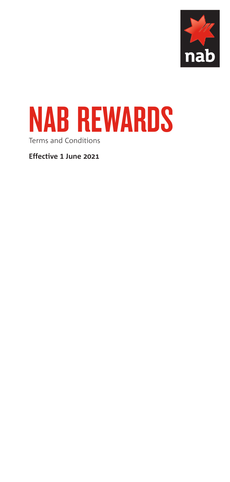



**Effective 1 June 2021**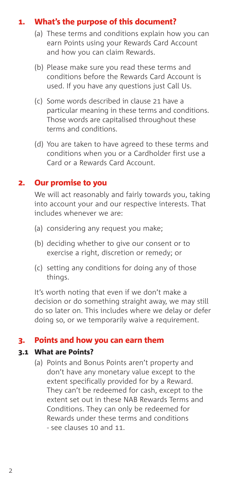# 1. What's the purpose of this document?

- <span id="page-1-0"></span>(a) These terms and conditions explain how you can earn Points using your Rewards Card Account and how you can claim Rewards.
- (b) Please make sure you read these terms and conditions before the Rewards Card Account is used. If you have any questions just Call Us.
- (c) Some words described in clause 21 have a particular meaning in these terms and conditions. Those words are capitalised throughout these terms and conditions.
- (d) You are taken to have agreed to these terms and conditions when you or a Cardholder first use a Card or a Rewards Card Account.

## 2. Our promise to you

We will act reasonably and fairly towards you, taking into account your and our respective interests. That includes whenever we are:

- (a) considering any request you make;
- (b) deciding whether to give our consent or to exercise a right, discretion or remedy; or
- (c) setting any conditions for doing any of those things.

It's worth noting that even if we don't make a decision or do something straight away, we may still do so later on. This includes where we delay or defer doing so, or we temporarily waive a requirement.

## 3. Points and how you can earn them

#### 3.1 What are Points?

<span id="page-1-1"></span>(a) Points and Bonus Points aren't property and don't have any monetary value except to the extent specifically provided for by a Reward. They can't be redeemed for cash, except to the extent set out in these NAB Rewards Terms and Conditions. They can only be redeemed for Rewards under these terms and conditions - see clauses [10](#page-7-0) and [11.](#page-8-0)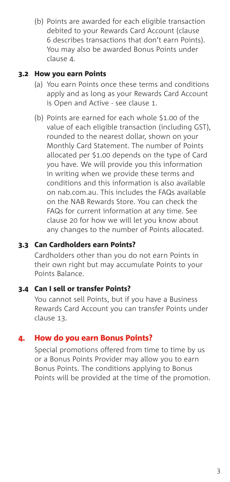(b) Points are awarded for each eligible transaction debited to your Rewards Card Account (clause [6](#page-3-0) describes transactions that don't earn Points). You may also be awarded Bonus Points under clause [4.](#page-2-0)

#### 3.2 How you earn Points

- (a) You earn Points once these terms and conditions apply and as long as your Rewards Card Account is Open and Active - see clause [1.](#page-1-0)
- (b) Points are earned for each whole \$1.00 of the value of each eligible transaction (including GST), rounded to the nearest dollar, shown on your Monthly Card Statement. The number of Points allocated per \$1.00 depends on the type of Card you have. We will provide you this information in writing when we provide these terms and conditions and this information is also available on nab.com.au. This includes the FAQs available on the NAB Rewards Store. You can check the FAQs for current information at any time. See clause [20](#page-19-0) for how we will let you know about any changes to the number of Points allocated.

#### 3.3 Can Cardholders earn Points?

Cardholders other than you do not earn Points in their own right but may accumulate Points to your Points Balance.

# 3.4 Can I sell or transfer Points?

You cannot sell Points, but if you have a Business Rewards Card Account you can transfer Points under clause [13.](#page-12-0)

## 4. How do you earn Bonus Points?

<span id="page-2-0"></span>Special promotions offered from time to time by us or a Bonus Points Provider may allow you to earn Bonus Points. The conditions applying to Bonus Points will be provided at the time of the promotion.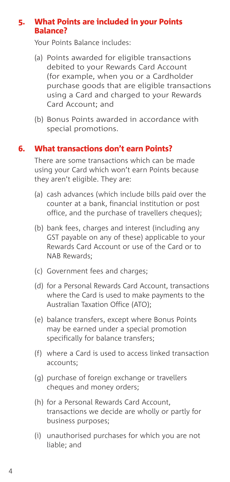## 5. What Points are included in your Points Balance?

Your Points Balance includes:

- (a) Points awarded for eligible transactions debited to your Rewards Card Account (for example, when you or a Cardholder purchase goods that are eligible transactions using a Card and charged to your Rewards Card Account; and
- (b) Bonus Points awarded in accordance with special promotions.

# 6. What transactions don't earn Points?

<span id="page-3-0"></span>There are some transactions which can be made using your Card which won't earn Points because they aren't eligible. They are:

- (a) cash advances (which include bills paid over the counter at a bank, financial institution or post office, and the purchase of travellers cheques);
- (b) bank fees, charges and interest (including any GST payable on any of these) applicable to your Rewards Card Account or use of the Card or to NAB Rewards;
- (c) Government fees and charges;
- (d) for a Personal Rewards Card Account, transactions where the Card is used to make payments to the Australian Taxation Office (ATO);
- (e) balance transfers, except where Bonus Points may be earned under a special promotion specifically for balance transfers;
- (f) where a Card is used to access linked transaction accounts;
- (g) purchase of foreign exchange or travellers cheques and money orders;
- (h) for a Personal Rewards Card Account, transactions we decide are wholly or partly for business purposes;
- (i) unauthorised purchases for which you are not liable; and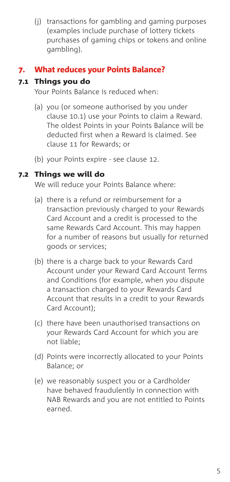(j) transactions for gambling and gaming purposes (examples include purchase of lottery tickets purchases of gaming chips or tokens and online gambling).

# 7. What reduces your Points Balance?

# 7.1 Things you do

Your Points Balance is reduced when:

- (a) you (or someone authorised by you under clause [10.1](#page-7-1)) use your Points to claim a Reward. The oldest Points in your Points Balance will be deducted first when a Reward is claimed. See clause [11](#page-8-0) for Rewards; or
- (b) your Points expire see clause [12.](#page-12-1)

# 7.2 Things we will do

We will reduce your Points Balance where:

- (a) there is a refund or reimbursement for a transaction previously charged to your Rewards Card Account and a credit is processed to the same Rewards Card Account. This may happen for a number of reasons but usually for returned goods or services;
- (b) there is a charge back to your Rewards Card Account under your Reward Card Account Terms and Conditions (for example, when you dispute a transaction charged to your Rewards Card Account that results in a credit to your Rewards Card Account);
- (c) there have been unauthorised transactions on your Rewards Card Account for which you are not liable;
- (d) Points were incorrectly allocated to your Points Balance; or
- (e) we reasonably suspect you or a Cardholder have behaved fraudulently in connection with NAB Rewards and you are not entitled to Points earned.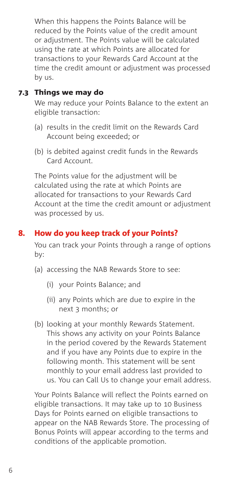When this happens the Points Balance will be reduced by the Points value of the credit amount or adjustment. The Points value will be calculated using the rate at which Points are allocated for transactions to your Rewards Card Account at the time the credit amount or adjustment was processed by us.

## 7.3 Things we may do

We may reduce your Points Balance to the extent an eligible transaction:

- (a) results in the credit limit on the Rewards Card Account being exceeded; or
- (b) is debited against credit funds in the Rewards Card Account.

The Points value for the adjustment will be calculated using the rate at which Points are allocated for transactions to your Rewards Card Account at the time the credit amount or adjustment was processed by us.

# 8. How do you keep track of your Points?

You can track your Points through a range of options by:

- (a) accessing the NAB Rewards Store to see:
	- (i) your Points Balance; and
	- (ii) any Points which are due to expire in the next 3 months; or
- (b) looking at your monthly Rewards Statement. This shows any activity on your Points Balance in the period covered by the Rewards Statement and if you have any Points due to expire in the following month. This statement will be sent monthly to your email address last provided to us. You can Call Us to change your email address.

Your Points Balance will reflect the Points earned on eligible transactions. It may take up to 10 Business Days for Points earned on eligible transactions to appear on the NAB Rewards Store. The processing of Bonus Points will appear according to the terms and conditions of the applicable promotion.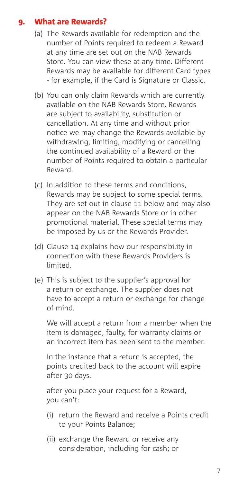# 9. What are Rewards?

- <span id="page-6-0"></span>(a) The Rewards available for redemption and the number of Points required to redeem a Reward at any time are set out on the NAB Rewards Store. You can view these at any time. Different Rewards may be available for different Card types - for example, if the Card is Signature or Classic.
- (b) You can only claim Rewards which are currently available on the NAB Rewards Store. Rewards are subject to availability, substitution or cancellation. At any time and without prior notice we may change the Rewards available by withdrawing, limiting, modifying or cancelling the continued availability of a Reward or the number of Points required to obtain a particular Reward.
- (c) In addition to these terms and conditions, Rewards may be subject to some special terms. They are set out in clause [11](#page-8-0) below and may also appear on the NAB Rewards Store or in other promotional material. These special terms may be imposed by us or the Rewards Provider.
- (d) Clause [14](#page-13-0) explains how our responsibility in connection with these Rewards Providers is limited.
- (e) This is subject to the supplier's approval for a return or exchange. The supplier does not have to accept a return or exchange for change of mind.

 We will accept a return from a member when the item is damaged, faulty, for warranty claims or an incorrect item has been sent to the member.

 In the instance that a return is accepted, the points credited back to the account will expire after 30 days.

 after you place your request for a Reward, you can't:

- (i) return the Reward and receive a Points credit to your Points Balance;
- (ii) exchange the Reward or receive any consideration, including for cash; or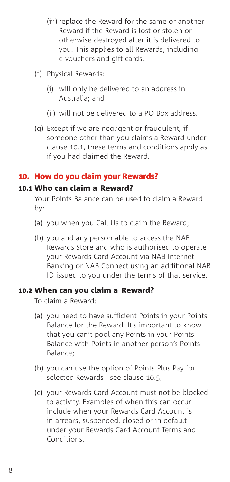- (iii) replace the Reward for the same or another Reward if the Reward is lost or stolen or otherwise destroyed after it is delivered to you. This applies to all Rewards, including e-vouchers and gift cards.
- (f) Physical Rewards:
	- (i) will only be delivered to an address in Australia; and
	- (ii) will not be delivered to a PO Box address.
- (g) Except if we are negligent or fraudulent, if someone other than you claims a Reward under clause [10.1](#page-7-1), these terms and conditions apply as if you had claimed the Reward.

## 10. How do you claim your Rewards?

#### 10.1 Who can claim a Reward?

<span id="page-7-1"></span><span id="page-7-0"></span>Your Points Balance can be used to claim a Reward by:

- (a) you when you Call Us to claim the Reward;
- (b) you and any person able to access the NAB Rewards Store and who is authorised to operate your Rewards Card Account via NAB Internet Banking or NAB Connect using an additional NAB ID issued to you under the terms of that service.

#### 10.2 When can you claim a Reward?

To claim a Reward:

- (a) you need to have sufficient Points in your Points Balance for the Reward. It's important to know that you can't pool any Points in your Points Balance with Points in another person's Points Balance;
- (b) you can use the option of Points Plus Pay for selected Rewards - see clause [10.5](#page-8-1);
- (c) your Rewards Card Account must not be blocked to activity. Examples of when this can occur include when your Rewards Card Account is in arrears, suspended, closed or in default under your Rewards Card Account Terms and Conditions.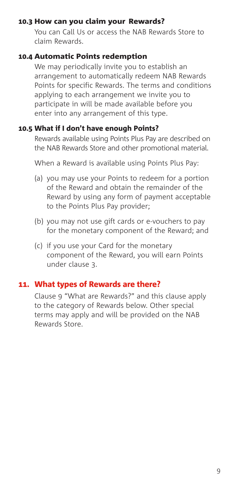#### 10.3 How can you claim your Rewards?

You can Call Us or access the NAB Rewards Store to claim Rewards.

#### 10.4 Automatic Points redemption

We may periodically invite you to establish an arrangement to automatically redeem NAB Rewards Points for specific Rewards. The terms and conditions applying to each arrangement we invite you to participate in will be made available before you enter into any arrangement of this type.

#### 10.5 What if I don't have enough Points?

<span id="page-8-1"></span>Rewards available using Points Plus Pay are described on the NAB Rewards Store and other promotional material.

When a Reward is available using Points Plus Pay:

- (a) you may use your Points to redeem for a portion of the Reward and obtain the remainder of the Reward by using any form of payment acceptable to the Points Plus Pay provider;
- (b) you may not use gift cards or e-vouchers to pay for the monetary component of the Reward; and
- (c) if you use your Card for the monetary component of the Reward, you will earn Points under clause [3.](#page-1-1)

## 11. What types of Rewards are there?

<span id="page-8-0"></span>Clause [9](#page-6-0) "What are Rewards?" and this clause apply to the category of Rewards below. Other special terms may apply and will be provided on the NAB Rewards Store.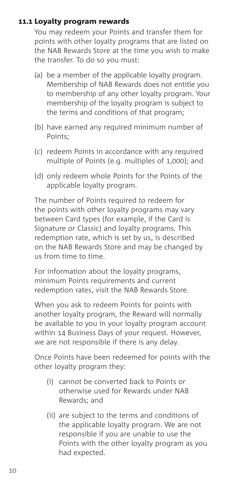## 11.1 Loyalty program rewards

You may redeem your Points and transfer them for points with other loyalty programs that are listed on the NAB Rewards Store at the time you wish to make the transfer. To do so you must:

- (a) be a member of the applicable loyalty program. Membership of NAB Rewards does not entitle you to membership of any other loyalty program. Your membership of the loyalty program is subject to the terms and conditions of that program;
- (b) have earned any required minimum number of Points;
- (c) redeem Points in accordance with any required multiple of Points (e.g. multiples of 1,000); and
- (d) only redeem whole Points for the Points of the applicable loyalty program.

The number of Points required to redeem for the points with other loyalty programs may vary between Card types (for example, if the Card is Signature or Classic) and loyalty programs. This redemption rate, which is set by us, is described on the NAB Rewards Store and may be changed by us from time to time.

For information about the loyalty programs, minimum Points requirements and current redemption rates, visit the NAB Rewards Store.

When you ask to redeem Points for points with another loyalty program, the Reward will normally be available to you in your loyalty program account within 14 Business Days of your request. However, we are not responsible if there is any delay.

Once Points have been redeemed for points with the other loyalty program they:

- (i) cannot be converted back to Points or otherwise used for Rewards under NAB Rewards; and
- (ii) are subject to the terms and conditions of the applicable loyalty program. We are not responsible if you are unable to use the Points with the other loyalty program as you had expected.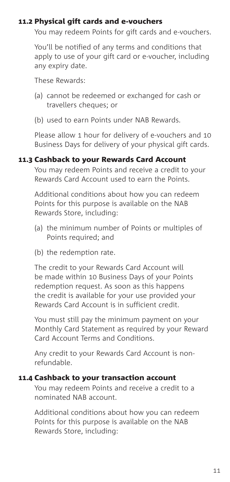#### 11.2 Physical gift cards and e-vouchers

You may redeem Points for gift cards and e-vouchers.

You'll be notified of any terms and conditions that apply to use of your gift card or e-voucher, including any expiry date.

These Rewards:

- (a) cannot be redeemed or exchanged for cash or travellers cheques; or
- (b) used to earn Points under NAB Rewards.

Please allow 1 hour for delivery of e-vouchers and 10 Business Days for delivery of your physical gift cards.

#### 11.3 Cashback to your Rewards Card Account

You may redeem Points and receive a credit to your Rewards Card Account used to earn the Points.

Additional conditions about how you can redeem Points for this purpose is available on the NAB Rewards Store, including:

- (a) the minimum number of Points or multiples of Points required; and
- (b) the redemption rate.

The credit to your Rewards Card Account will be made within 10 Business Days of your Points redemption request. As soon as this happens the credit is available for your use provided your Rewards Card Account is in sufficient credit.

You must still pay the minimum payment on your Monthly Card Statement as required by your Reward Card Account Terms and Conditions.

Any credit to your Rewards Card Account is nonrefundable.

## 11.4 Cashback to your transaction account

You may redeem Points and receive a credit to a nominated NAB account.

Additional conditions about how you can redeem Points for this purpose is available on the NAB Rewards Store, including: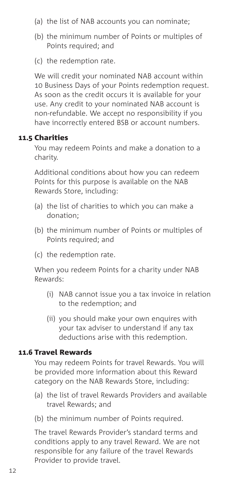- (a) the list of NAB accounts you can nominate;
- (b) the minimum number of Points or multiples of Points required; and
- (c) the redemption rate.

We will credit your nominated NAB account within 10 Business Days of your Points redemption request. As soon as the credit occurs it is available for your use. Any credit to your nominated NAB account is non-refundable. We accept no responsibility if you have incorrectly entered BSB or account numbers.

# 11.5 Charities

You may redeem Points and make a donation to a charity.

Additional conditions about how you can redeem Points for this purpose is available on the NAB Rewards Store, including:

- (a) the list of charities to which you can make a donation;
- (b) the minimum number of Points or multiples of Points required; and
- (c) the redemption rate.

When you redeem Points for a charity under NAB Rewards:

- (i) NAB cannot issue you a tax invoice in relation to the redemption; and
- (ii) you should make your own enquires with your tax adviser to understand if any tax deductions arise with this redemption.

## 11.6 Travel Rewards

You may redeem Points for travel Rewards. You will be provided more information about this Reward category on the NAB Rewards Store, including:

- (a) the list of travel Rewards Providers and available travel Rewards; and
- (b) the minimum number of Points required.

The travel Rewards Provider's standard terms and conditions apply to any travel Reward. We are not responsible for any failure of the travel Rewards Provider to provide travel.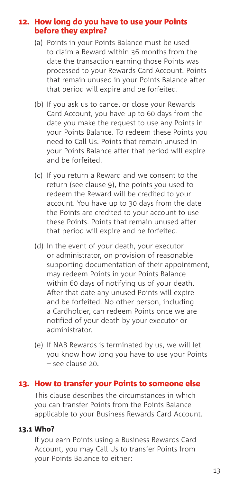#### 12. How long do you have to use your Points before they expire?

- <span id="page-12-1"></span>(a) Points in your Points Balance must be used to claim a Reward within 36 months from the date the transaction earning those Points was processed to your Rewards Card Account. Points that remain unused in your Points Balance after that period will expire and be forfeited.
- <span id="page-12-2"></span>(b) If you ask us to cancel or close your Rewards Card Account, you have up to 60 days from the date you make the request to use any Points in your Points Balance. To redeem these Points you need to Call Us. Points that remain unused in your Points Balance after that period will expire and be forfeited.
- (c) If you return a Reward and we consent to the return (see clause 9), the points you used to redeem the Reward will be credited to your account. You have up to 30 days from the date the Points are credited to your account to use these Points. Points that remain unused after that period will expire and be forfeited.
- (d) In the event of your death, your executor or administrator, on provision of reasonable supporting documentation of their appointment, may redeem Points in your Points Balance within 60 days of notifying us of your death. After that date any unused Points will expire and be forfeited. No other person, including a Cardholder, can redeem Points once we are notified of your death by your executor or administrator.
- (e) If NAB Rewards is terminated by us, we will let you know how long you have to use your Points – see clause [20.](#page-19-0)

# 13. How to transfer your Points to someone else

<span id="page-12-0"></span>This clause describes the circumstances in which you can transfer Points from the Points Balance applicable to your Business Rewards Card Account.

#### 13.1 Who?

If you earn Points using a Business Rewards Card Account, you may Call Us to transfer Points from your Points Balance to either: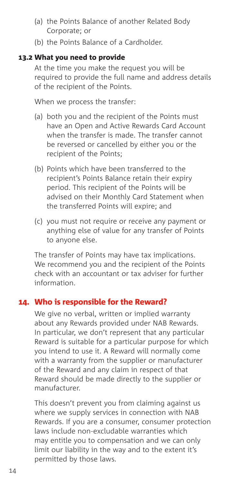- (a) the Points Balance of another Related Body Corporate; or
- (b) the Points Balance of a Cardholder.

## 13.2 What you need to provide

At the time you make the request you will be required to provide the full name and address details of the recipient of the Points.

When we process the transfer:

- (a) both you and the recipient of the Points must have an Open and Active Rewards Card Account when the transfer is made. The transfer cannot be reversed or cancelled by either you or the recipient of the Points;
- (b) Points which have been transferred to the recipient's Points Balance retain their expiry period. This recipient of the Points will be advised on their Monthly Card Statement when the transferred Points will expire; and
- (c) you must not require or receive any payment or anything else of value for any transfer of Points to anyone else.

The transfer of Points may have tax implications. We recommend you and the recipient of the Points check with an accountant or tax adviser for further information.

# 14. Who is responsible for the Reward?

<span id="page-13-0"></span>We give no verbal, written or implied warranty about any Rewards provided under NAB Rewards. In particular, we don't represent that any particular Reward is suitable for a particular purpose for which you intend to use it. A Reward will normally come with a warranty from the supplier or manufacturer of the Reward and any claim in respect of that Reward should be made directly to the supplier or manufacturer.

This doesn't prevent you from claiming against us where we supply services in connection with NAB Rewards. If you are a consumer, consumer protection laws include non-excludable warranties which may entitle you to compensation and we can only limit our liability in the way and to the extent it's permitted by those laws.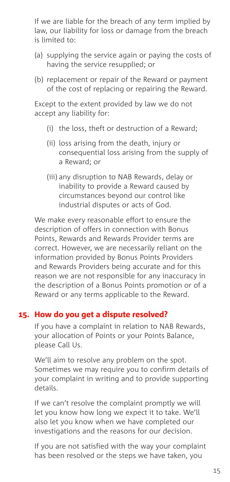If we are liable for the breach of any term implied by law, our liability for loss or damage from the breach is limited to:

- (a) supplying the service again or paying the costs of having the service resupplied; or
- (b) replacement or repair of the Reward or payment of the cost of replacing or repairing the Reward.

Except to the extent provided by law we do not accept any liability for:

- (i) the loss, theft or destruction of a Reward;
- (ii) loss arising from the death, injury or consequential loss arising from the supply of a Reward; or
- (iii) any disruption to NAB Rewards, delay or inability to provide a Reward caused by circumstances beyond our control like industrial disputes or acts of God.

We make every reasonable effort to ensure the description of offers in connection with Bonus Points, Rewards and Rewards Provider terms are correct. However, we are necessarily reliant on the information provided by Bonus Points Providers and Rewards Providers being accurate and for this reason we are not responsible for any inaccuracy in the description of a Bonus Points promotion or of a Reward or any terms applicable to the Reward.

## 15. How do you get a dispute resolved?

If you have a complaint in relation to NAB Rewards, your allocation of Points or your Points Balance, please Call Us.

We'll aim to resolve any problem on the spot. Sometimes we may require you to confirm details of your complaint in writing and to provide supporting details.

If we can't resolve the complaint promptly we will let you know how long we expect it to take. We'll also let you know when we have completed our investigations and the reasons for our decision.

If you are not satisfied with the way your complaint has been resolved or the steps we have taken, you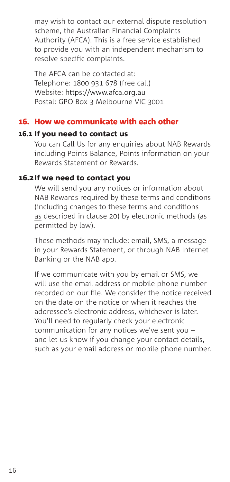may wish to contact our external dispute resolution scheme, the Australian Financial Complaints Authority (AFCA). This is a free service established to provide you with an independent mechanism to resolve specific complaints.

The AFCA can be contacted at: Telephone: 1800 931 678 (free call) Website: <https://www.afca.org.au> Postal: GPO Box 3 Melbourne VIC 3001

# 16. How we communicate with each other

#### 16.1 If you need to contact us

You can Call Us for any enquiries about NAB Rewards including Points Balance, Points information on your Rewards Statement or Rewards.

#### 16.2 If we need to contact you

We will send you any notices or information about NAB Rewards required by these terms and conditions (including changes to these terms and conditions as described in clause 20) by electronic methods (as permitted by law).

These methods may include: email, SMS, a message in your Rewards Statement, or through NAB Internet Banking or the NAB app.

If we communicate with you by email or SMS, we will use the email address or mobile phone number recorded on our file. We consider the notice received on the date on the notice or when it reaches the addressee's electronic address, whichever is later. You'll need to regularly check your electronic communication for any notices we've sent you – and let us know if you change your contact details, such as your email address or mobile phone number.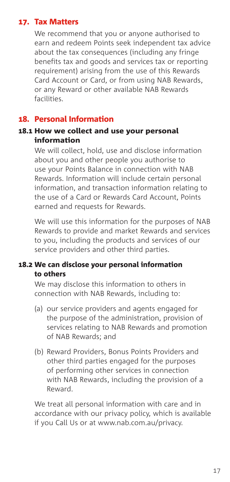# 17. Tax Matters

We recommend that you or anyone authorised to earn and redeem Points seek independent tax advice about the tax consequences (including any fringe benefits tax and goods and services tax or reporting requirement) arising from the use of this Rewards Card Account or Card, or from using NAB Rewards, or any Reward or other available NAB Rewards facilities.

## 18. Personal Information

#### 18.1 How we collect and use your personal information

We will collect, hold, use and disclose information about you and other people you authorise to use your Points Balance in connection with NAB Rewards. Information will include certain personal information, and transaction information relating to the use of a Card or Rewards Card Account, Points earned and requests for Rewards.

We will use this information for the purposes of NAB Rewards to provide and market Rewards and services to you, including the products and services of our service providers and other third parties.

#### 18.2 We can disclose your personal information to others

We may disclose this information to others in connection with NAB Rewards, including to:

- (a) our service providers and agents engaged for the purpose of the administration, provision of services relating to NAB Rewards and promotion of NAB Rewards; and
- (b) Reward Providers, Bonus Points Providers and other third parties engaged for the purposes of performing other services in connection with NAB Rewards, including the provision of a Reward.

We treat all personal information with care and in accordance with our privacy policy, which is available if you Call Us or at [www.nab.com.au/privacy](http://www.nab.com.au/privacy).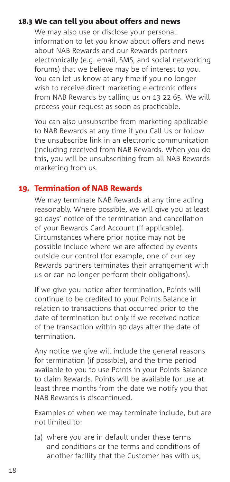## 18.3 We can tell you about offers and news

We may also use or disclose your personal information to let you know about offers and news about NAB Rewards and our Rewards partners electronically (e.g. email, SMS, and social networking forums) that we believe may be of interest to you. You can let us know at any time if you no longer wish to receive direct marketing electronic offers from NAB Rewards by calling us on 13 22 65. We will process your request as soon as practicable.

You can also unsubscribe from marketing applicable to NAB Rewards at any time if you Call Us or follow the unsubscribe link in an electronic communication (including received from NAB Rewards. When you do this, you will be unsubscribing from all NAB Rewards marketing from us.

# 19. Termination of NAB Rewards

We may terminate NAB Rewards at any time acting reasonably. Where possible, we will give you at least 90 days' notice of the termination and cancellation of your Rewards Card Account (if applicable). Circumstances where prior notice may not be possible include where we are affected by events outside our control (for example, one of our key Rewards partners terminates their arrangement with us or can no longer perform their obligations).

If we give you notice after termination, Points will continue to be credited to your Points Balance in relation to transactions that occurred prior to the date of termination but only if we received notice of the transaction within 90 days after the date of termination.

Any notice we give will include the general reasons for termination (if possible), and the time period available to you to use Points in your Points Balance to claim Rewards. Points will be available for use at least three months from the date we notify you that NAB Rewards is discontinued.

Examples of when we may terminate include, but are not limited to:

(a) where you are in default under these terms and conditions or the terms and conditions of another facility that the Customer has with us;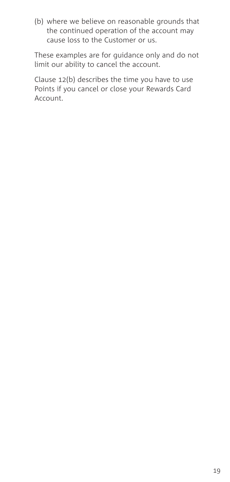(b) where we believe on reasonable grounds that the continued operation of the account may cause loss to the Customer or us.

These examples are for guidance only and do not limit our ability to cancel the account.

Clause [12\(b\)](#page-12-2) describes the time you have to use Points if you cancel or close your Rewards Card Account.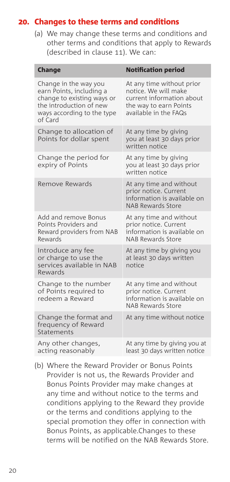## 20. Changes to these terms and conditions

<span id="page-19-0"></span>(a) We may change these terms and conditions and other terms and conditions that apply to Rewards (described in clause [11](#page-8-0)). We can:

| <b>Change</b>                                                                                                                                       | <b>Notification period</b>                                                                                                        |
|-----------------------------------------------------------------------------------------------------------------------------------------------------|-----------------------------------------------------------------------------------------------------------------------------------|
| Change in the way you<br>earn Points, including a<br>change to existing ways or<br>the introduction of new<br>ways according to the type<br>of Card | At any time without prior<br>notice. We will make<br>current information about<br>the way to earn Points<br>available in the FAQs |
| Change to allocation of<br>Points for dollar spent                                                                                                  | At any time by giving<br>you at least 30 days prior<br>written notice                                                             |
| Change the period for<br>expiry of Points                                                                                                           | At any time by giving<br>you at least 30 days prior<br>written notice                                                             |
| Remove Rewards                                                                                                                                      | At any time and without<br>prior notice. Current<br>information is available on<br><b>NAB Rewards Store</b>                       |
| Add and remove Bonus<br>Points Providers and<br>Reward providers from NAB<br>Rewards                                                                | At any time and without<br>prior notice. Current<br>information is available on<br><b>NAB Rewards Store</b>                       |
| Introduce any fee<br>or charge to use the<br>services available in NAB<br>Rewards                                                                   | At any time by giving you<br>at least 30 days written<br>notice                                                                   |
| Change to the number<br>of Points required to<br>redeem a Reward                                                                                    | At any time and without<br>prior notice. Current<br>information is available on<br><b>NAB Rewards Store</b>                       |
| Change the format and<br>frequency of Reward<br>Statements                                                                                          | At any time without notice                                                                                                        |
| Any other changes,<br>acting reasonably                                                                                                             | At any time by giving you at<br>least 30 days written notice                                                                      |

(b) Where the Reward Provider or Bonus Points Provider is not us, the Rewards Provider and Bonus Points Provider may make changes at any time and without notice to the terms and conditions applying to the Reward they provide or the terms and conditions applying to the special promotion they offer in connection with Bonus Points, as applicable.Changes to these terms will be notified on the NAB Rewards Store.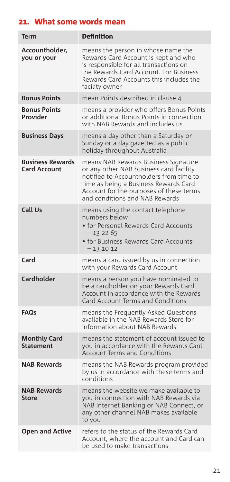# 21. What some words mean

| <b>Term</b>                                    | <b>Definition</b>                                                                                                                                                                                                                                |
|------------------------------------------------|--------------------------------------------------------------------------------------------------------------------------------------------------------------------------------------------------------------------------------------------------|
| Accountholder,<br>you or your                  | means the person in whose name the<br>Rewards Card Account is kept and who<br>is responsible for all transactions on<br>the Rewards Card Account. For Business<br>Rewards Card Accounts this includes the<br>facility owner                      |
| <b>Bonus Points</b>                            | mean Points described in clause 4                                                                                                                                                                                                                |
| <b>Bonus Points</b><br>Provider                | means a provider who offers Bonus Points<br>or additional Bonus Points in connection<br>with NAB Rewards and includes us                                                                                                                         |
| <b>Business Days</b>                           | means a day other than a Saturday or<br>Sunday or a day gazetted as a public<br>holiday throughout Australia                                                                                                                                     |
| <b>Business Rewards</b><br><b>Card Account</b> | means NAB Rewards Business Signature<br>or any other NAB business card facility<br>notified to Accountholders from time to<br>time as being a Business Rewards Card<br>Account for the purposes of these terms<br>and conditions and NAB Rewards |
| Call Us                                        | means using the contact telephone<br>numbers below<br>• for Personal Rewards Card Accounts<br>$-132265$<br>• for Business Rewards Card Accounts<br>$-131012$                                                                                     |
| Card                                           | means a card issued by us in connection<br>with your Rewards Card Account                                                                                                                                                                        |
| <b>Cardholder</b>                              | means a person you have nominated to<br>be a cardholder on your Rewards Card<br>Account in accordance with the Rewards<br>Card Account Terms and Conditions                                                                                      |
| <b>FAQs</b>                                    | means the Frequently Asked Questions<br>available in the NAB Rewards Store for<br>information about NAB Rewards                                                                                                                                  |
| <b>Monthly Card</b><br><b>Statement</b>        | means the statement of account issued to<br>you in accordance with the Rewards Card<br><b>Account Terms and Conditions</b>                                                                                                                       |
| <b>NAB Rewards</b>                             | means the NAB Rewards program provided<br>by us in accordance with these terms and<br>conditions                                                                                                                                                 |
| <b>NAB Rewards</b><br><b>Store</b>             | means the website we make available to<br>you in connection with NAB Rewards via<br>NAB Internet Banking or NAB Connect, or<br>any other channel NAB makes available<br>to you                                                                   |
| <b>Open and Active</b>                         | refers to the status of the Rewards Card<br>Account, where the account and Card can<br>be used to make transactions                                                                                                                              |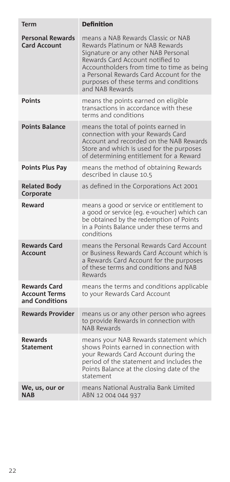| <b>Term</b>                                                   | <b>Definition</b>                                                                                                                                                                                                                                                                                     |
|---------------------------------------------------------------|-------------------------------------------------------------------------------------------------------------------------------------------------------------------------------------------------------------------------------------------------------------------------------------------------------|
| <b>Personal Rewards</b><br><b>Card Account</b>                | means a NAB Rewards Classic or NAB<br>Rewards Platinum or NAB Rewards<br>Signature or any other NAB Personal<br>Rewards Card Account notified to<br>Accountholders from time to time as being<br>a Personal Rewards Card Account for the<br>purposes of these terms and conditions<br>and NAB Rewards |
| <b>Points</b>                                                 | means the points earned on eligible<br>transactions in accordance with these<br>terms and conditions                                                                                                                                                                                                  |
| <b>Points Balance</b>                                         | means the total of points earned in<br>connection with your Rewards Card<br>Account and recorded on the NAB Rewards<br>Store and which is used for the purposes<br>of determining entitlement for a Reward                                                                                            |
| <b>Points Plus Pay</b>                                        | means the method of obtaining Rewards<br>described in clause 10.5                                                                                                                                                                                                                                     |
| <b>Related Body</b><br>Corporate                              | as defined in the Corporations Act 2001                                                                                                                                                                                                                                                               |
| Reward                                                        | means a good or service or entitlement to<br>a good or service (eg. e-voucher) which can<br>be obtained by the redemption of Points<br>in a Points Balance under these terms and<br>conditions                                                                                                        |
| <b>Rewards Card</b><br>Account                                | means the Personal Rewards Card Account<br>or Business Rewards Card Account which is<br>a Rewards Card Account for the purposes<br>of these terms and conditions and NAB<br>Rewards                                                                                                                   |
| <b>Rewards Card</b><br><b>Account Terms</b><br>and Conditions | means the terms and conditions applicable<br>to your Rewards Card Account                                                                                                                                                                                                                             |
| <b>Rewards Provider</b>                                       | means us or any other person who agrees<br>to provide Rewards in connection with<br><b>NAB Rewards</b>                                                                                                                                                                                                |
| <b>Rewards</b><br><b>Statement</b>                            | means your NAB Rewards statement which<br>shows Points earned in connection with<br>your Rewards Card Account during the<br>period of the statement and includes the<br>Points Balance at the closing date of the<br>statement                                                                        |
| We, us, our or<br><b>NAB</b>                                  | means National Australia Bank Limited<br>ABN 12 004 044 937                                                                                                                                                                                                                                           |